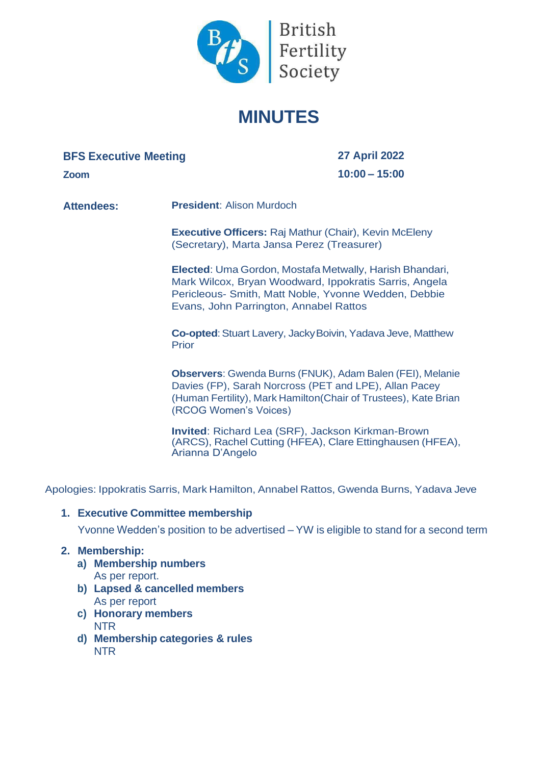

# **MINUTES**

## **BFS Executive Meeting**

**Zoom**

**27 April 2022 10:00 – 15:00**

**Attendees: President**: Alison Murdoch

**Executive Officers:** Raj Mathur (Chair), Kevin McEleny (Secretary), Marta Jansa Perez (Treasurer)

**Elected**: Uma Gordon, Mostafa Metwally, Harish Bhandari, Mark Wilcox, Bryan Woodward, Ippokratis Sarris, Angela Pericleous- Smith, Matt Noble, Yvonne Wedden, Debbie Evans, John Parrington, Annabel Rattos

**Co-opted:** Stuart Lavery, Jacky Boivin, Yadava Jeve, Matthew Prior

**Observers**: Gwenda Burns (FNUK), Adam Balen (FEI), Melanie Davies (FP), Sarah Norcross (PET and LPE), Allan Pacey (Human Fertility), Mark Hamilton(Chair of Trustees), Kate Brian (RCOG Women's Voices)

**Invited**: Richard Lea (SRF), Jackson Kirkman-Brown (ARCS), Rachel Cutting (HFEA), Clare Ettinghausen (HFEA), Arianna D'Angelo

Apologies: Ippokratis Sarris, Mark Hamilton, Annabel Rattos, Gwenda Burns, Yadava Jeve

#### **1. Executive Committee membership**

Yvonne Wedden's position to be advertised – YW is eligible to stand for a second term

#### **2. Membership:**

- **a) Membership numbers** As per report.
- **b) Lapsed & cancelled members** As per report
- **c) Honorary members** NTR
- **d) Membership categories & rules** NTR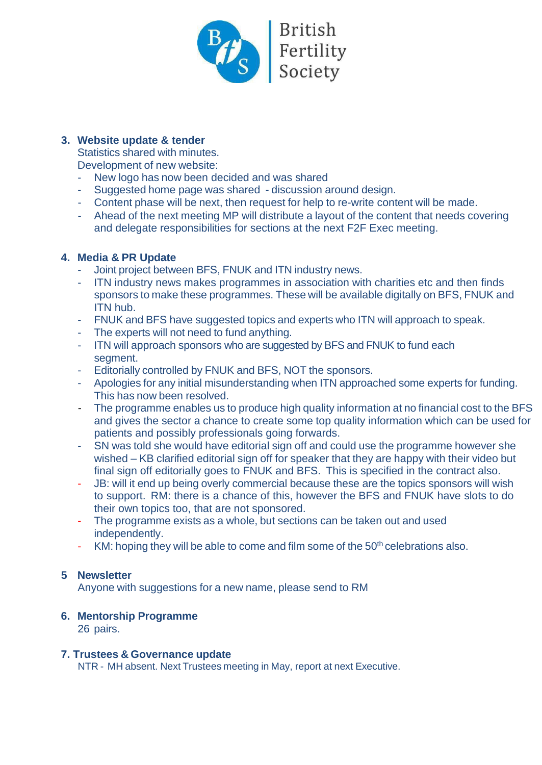

## **3. Website update & tender**

Statistics shared with minutes.

Development of new website:

- New logo has now been decided and was shared
- Suggested home page was shared discussion around design.
- Content phase will be next, then request for help to re-write content will be made.
- Ahead of the next meeting MP will distribute a layout of the content that needs covering and delegate responsibilities for sections at the next F2F Exec meeting.

## **4. Media & PR Update**

- Joint project between BFS, FNUK and ITN industry news.
- ITN industry news makes programmes in association with charities etc and then finds sponsors to make these programmes. These will be available digitally on BFS, FNUK and ITN hub.
- FNUK and BFS have suggested topics and experts who ITN will approach to speak.
- The experts will not need to fund anything.
- ITN will approach sponsors who are suggested by BFS and FNUK to fund each segment.
- Editorially controlled by FNUK and BFS, NOT the sponsors.
- Apologies for any initial misunderstanding when ITN approached some experts for funding. This has now been resolved.
- The programme enables us to produce high quality information at no financial cost to the BFS and gives the sector a chance to create some top quality information which can be used for patients and possibly professionals going forwards.
- SN was told she would have editorial sign off and could use the programme however she wished – KB clarified editorial sign off for speaker that they are happy with their video but final sign off editorially goes to FNUK and BFS. This is specified in the contract also.
- JB: will it end up being overly commercial because these are the topics sponsors will wish to support. RM: there is a chance of this, however the BFS and FNUK have slots to do their own topics too, that are not sponsored.
- The programme exists as a whole, but sections can be taken out and used independently.
- KM: hoping they will be able to come and film some of the  $50<sup>th</sup>$  celebrations also.

# **5 Newsletter**

Anyone with suggestions for a new name, please send to RM

# **6. Mentorship Programme**

26 pairs.

## **7. Trustees & Governance update**

NTR - MH absent. Next Trustees meeting in May, report at next Executive.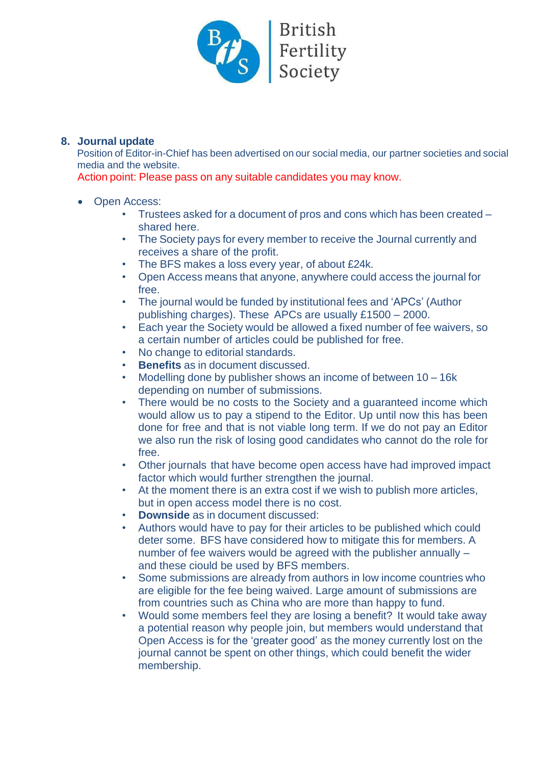

## **8. Journal update**

Position of Editor-in-Chief has been advertised on our social media, our partner societies and social media and the website.

Action point: Please pass on any suitable candidates you may know.

- Open Access:
	- Trustees asked for a document of pros and cons which has been created shared here.
	- The Society pays for every member to receive the Journal currently and receives a share of the profit.
	- The BFS makes a loss every year, of about £24k.
	- Open Access means that anyone, anywhere could access the journal for free.
	- The journal would be funded by institutional fees and 'APCs' (Author publishing charges). These APCs are usually £1500 – 2000.
	- Each year the Society would be allowed a fixed number of fee waivers, so a certain number of articles could be published for free.
	- No change to editorial standards.
	- **Benefits** as in document discussed.
	- Modelling done by publisher shows an income of between 10 16k depending on number of submissions.
	- There would be no costs to the Society and a guaranteed income which would allow us to pay a stipend to the Editor. Up until now this has been done for free and that is not viable long term. If we do not pay an Editor we also run the risk of losing good candidates who cannot do the role for free.
	- Other journals that have become open access have had improved impact factor which would further strengthen the journal.
	- At the moment there is an extra cost if we wish to publish more articles, but in open access model there is no cost.
	- **Downside** as in document discussed:
	- Authors would have to pay for their articles to be published which could deter some. BFS have considered how to mitigate this for members. A number of fee waivers would be agreed with the publisher annually – and these ciould be used by BFS members.
	- Some submissions are already from authors in low income countries who are eligible for the fee being waived. Large amount of submissions are from countries such as China who are more than happy to fund.
	- Would some members feel they are losing a benefit? It would take away a potential reason why people join, but members would understand that Open Access is for the 'greater good' as the money currently lost on the journal cannot be spent on other things, which could benefit the wider membership.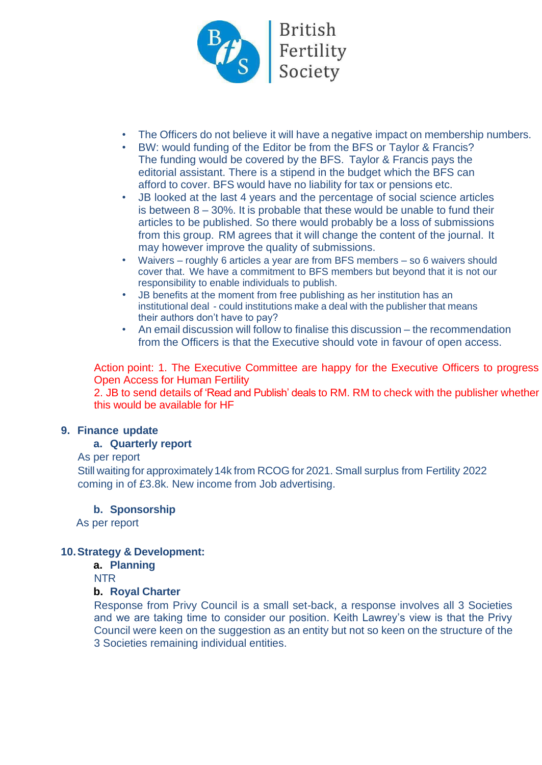

- The Officers do not believe it will have a negative impact on membership numbers.
- BW: would funding of the Editor be from the BFS or Taylor & Francis? The funding would be covered by the BFS. Taylor & Francis pays the editorial assistant. There is a stipend in the budget which the BFS can afford to cover. BFS would have no liability for tax or pensions etc.
- JB looked at the last 4 years and the percentage of social science articles is between  $8 - 30\%$ . It is probable that these would be unable to fund their articles to be published. So there would probably be a loss of submissions from this group. RM agrees that it will change the content of the journal. It may however improve the quality of submissions.
- Waivers roughly 6 articles a year are from BFS members so 6 waivers should cover that. We have a commitment to BFS members but beyond that it is not our responsibility to enable individuals to publish.
- JB benefits at the moment from free publishing as her institution has an institutional deal - could institutions make a deal with the publisher that means their authors don't have to pay?
- An email discussion will follow to finalise this discussion the recommendation from the Officers is that the Executive should vote in favour of open access.

Action point: 1. The Executive Committee are happy for the Executive Officers to progress Open Access for Human Fertility

2. JB to send details of 'Read and Publish' deals to RM. RM to check with the publisher whether this would be available for HF

#### **9. Finance update**

#### **a. Quarterly report**

#### As per report

Still waiting for approximately 14k from RCOG for 2021. Small surplus from Fertility 2022 coming in of £3.8k. New income from Job advertising.

#### **b. Sponsorship**

As per report

#### **10.Strategy & Development:**

#### **a. Planning**

**NTR** 

## **b. Royal Charter**

Response from Privy Council is a small set-back, a response involves all 3 Societies and we are taking time to consider our position. Keith Lawrey's view is that the Privy Council were keen on the suggestion as an entity but not so keen on the structure of the 3 Societies remaining individual entities.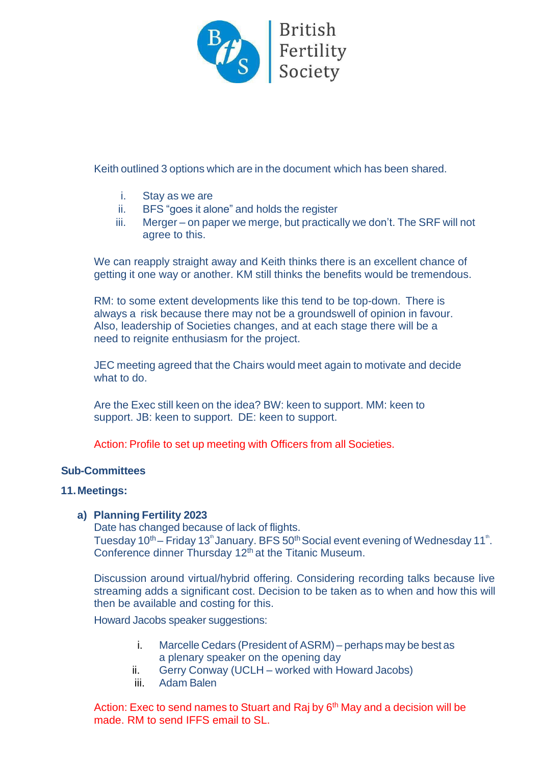

Keith outlined 3 options which are in the document which has been shared.

- i. Stay as we are
- ii. BFS "goes it alone" and holds the register
- iii. Merger on paper we merge, but practically we don't. The SRF will not agree to this.

We can reapply straight away and Keith thinks there is an excellent chance of getting it one way or another. KM still thinks the benefits would be tremendous.

RM: to some extent developments like this tend to be top-down. There is always a risk because there may not be a groundswell of opinion in favour. Also, leadership of Societies changes, and at each stage there will be a need to reignite enthusiasm for the project.

JEC meeting agreed that the Chairs would meet again to motivate and decide what to do.

Are the Exec still keen on the idea? BW: keen to support. MM: keen to support. JB: keen to support. DE: keen to support.

Action: Profile to set up meeting with Officers from all Societies.

#### **Sub-Committees**

#### **11.Meetings:**

#### **a) Planning Fertility 2023**

Date has changed because of lack of flights. Tuesday 10<sup>th</sup> – Friday 13<sup>th</sup> January. BFS 50<sup>th</sup> Social event evening of Wednesday 11<sup>th</sup>. Conference dinner Thursday 12<sup>th</sup> at the Titanic Museum.

Discussion around virtual/hybrid offering. Considering recording talks because live streaming adds a significant cost. Decision to be taken as to when and how this will then be available and costing for this.

Howard Jacobs speaker suggestions:

- i. Marcelle Cedars (President of ASRM) perhaps may be best as a plenary speaker on the opening day
- ii. Gerry Conway (UCLH worked with Howard Jacobs)
- iii. Adam Balen

Action: Exec to send names to Stuart and Raj by 6<sup>th</sup> May and a decision will be made. RM to send IFFS email to SL.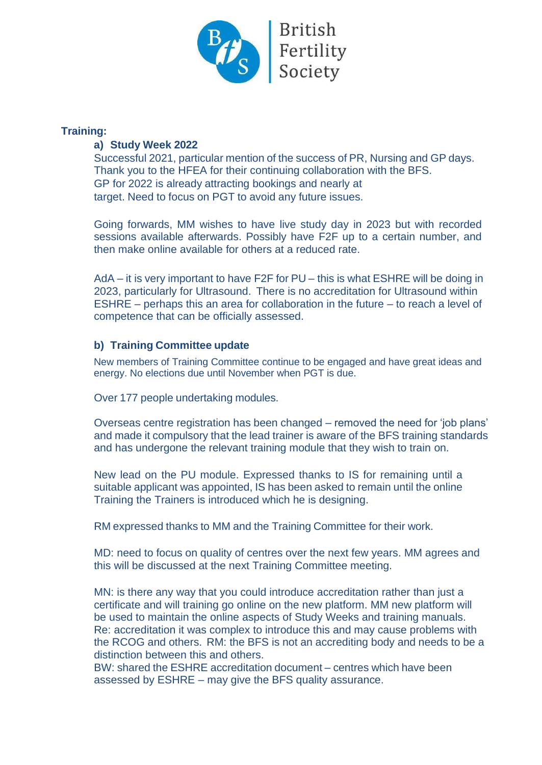

#### **Training:**

## **a) Study Week 2022**

Successful 2021, particular mention of the success of PR, Nursing and GP days. Thank you to the HFEA for their continuing collaboration with the BFS. GP for 2022 is already attracting bookings and nearly at target. Need to focus on PGT to avoid any future issues.

Going forwards, MM wishes to have live study day in 2023 but with recorded sessions available afterwards. Possibly have F2F up to a certain number, and then make online available for others at a reduced rate.

AdA – it is very important to have F2F for PU – this is what ESHRE will be doing in 2023, particularly for Ultrasound. There is no accreditation for Ultrasound within ESHRE – perhaps this an area for collaboration in the future – to reach a level of competence that can be officially assessed.

## **b) Training Committee update**

New members of Training Committee continue to be engaged and have great ideas and energy. No elections due until November when PGT is due.

Over 177 people undertaking modules.

Overseas centre registration has been changed – removed the need for 'job plans' and made it compulsory that the lead trainer is aware of the BFS training standards and has undergone the relevant training module that they wish to train on.

New lead on the PU module. Expressed thanks to IS for remaining until a suitable applicant was appointed, IS has been asked to remain until the online Training the Trainers is introduced which he is designing.

RM expressed thanks to MM and the Training Committee for their work.

MD: need to focus on quality of centres over the next few years. MM agrees and this will be discussed at the next Training Committee meeting.

MN: is there any way that you could introduce accreditation rather than just a certificate and will training go online on the new platform. MM new platform will be used to maintain the online aspects of Study Weeks and training manuals. Re: accreditation it was complex to introduce this and may cause problems with the RCOG and others. RM: the BFS is not an accrediting body and needs to be a distinction between this and others.

BW: shared the ESHRE accreditation document – centres which have been assessed by ESHRE – may give the BFS quality assurance.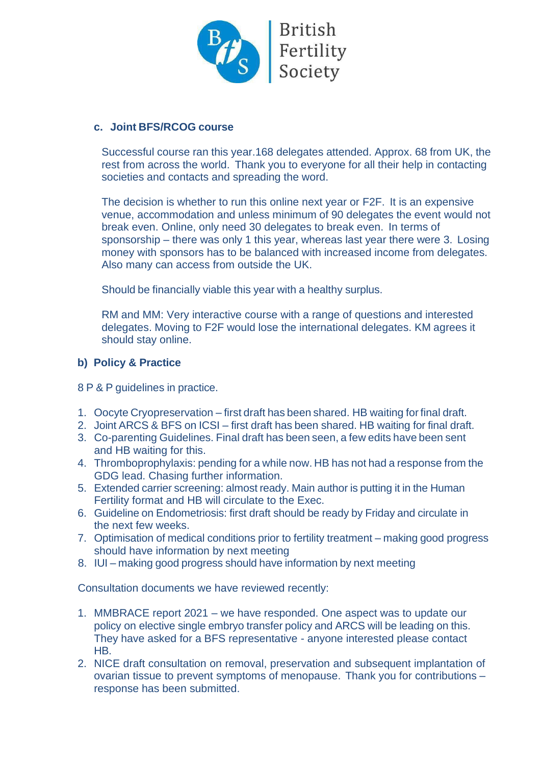

#### **c. Joint BFS/RCOG course**

Successful course ran this year.168 delegates attended. Approx. 68 from UK, the rest from across the world. Thank you to everyone for all their help in contacting societies and contacts and spreading the word.

The decision is whether to run this online next year or F2F. It is an expensive venue, accommodation and unless minimum of 90 delegates the event would not break even. Online, only need 30 delegates to break even. In terms of sponsorship – there was only 1 this year, whereas last year there were 3. Losing money with sponsors has to be balanced with increased income from delegates. Also many can access from outside the UK.

Should be financially viable this year with a healthy surplus.

RM and MM: Very interactive course with a range of questions and interested delegates. Moving to F2F would lose the international delegates. KM agrees it should stay online.

#### **b) Policy & Practice**

8 P & P guidelines in practice.

- 1. Oocyte Cryopreservation first draft has been shared. HB waiting forfinal draft.
- 2. Joint ARCS & BFS on ICSI first draft has been shared. HB waiting for final draft.
- 3. Co-parenting Guidelines. Final draft has been seen, a few edits have been sent and HB waiting for this.
- 4. Thromboprophylaxis: pending for a while now. HB has not had a response from the GDG lead. Chasing further information.
- 5. Extended carrier screening: almost ready. Main author is putting it in the Human Fertility format and HB will circulate to the Exec.
- 6. Guideline on Endometriosis: first draft should be ready by Friday and circulate in the next few weeks.
- 7. Optimisation of medical conditions prior to fertility treatment making good progress should have information by next meeting
- 8. IUI making good progress should have information by next meeting

Consultation documents we have reviewed recently:

- 1. MMBRACE report 2021 we have responded. One aspect was to update our policy on elective single embryo transfer policy and ARCS will be leading on this. They have asked for a BFS representative - anyone interested please contact HB.
- 2. NICE draft consultation on removal, preservation and subsequent implantation of ovarian tissue to prevent symptoms of menopause. Thank you for contributions – response has been submitted.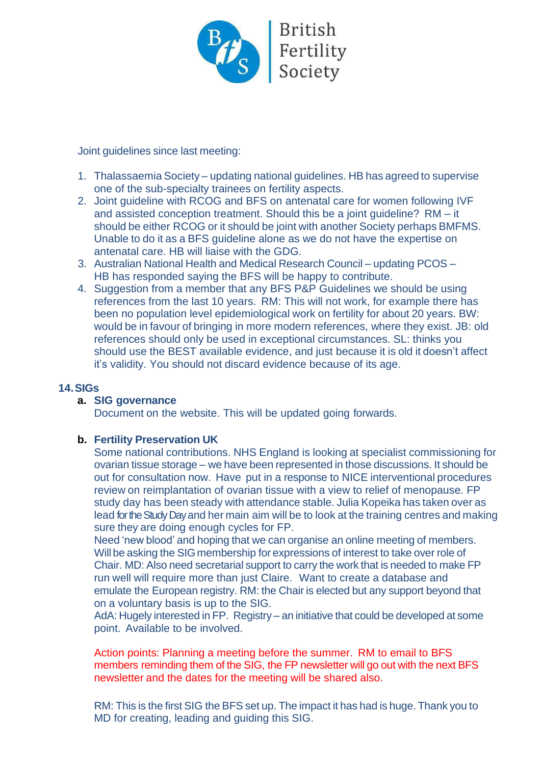

Joint guidelines since last meeting:

- 1. Thalassaemia Society updating national guidelines. HB has agreed to supervise one of the sub-specialty trainees on fertility aspects.
- 2. Joint guideline with RCOG and BFS on antenatal care for women following IVF and assisted conception treatment. Should this be a joint guideline? RM – it should be either RCOG or it should be joint with another Society perhaps BMFMS. Unable to do it as a BFS guideline alone as we do not have the expertise on antenatal care. HB will liaise with the GDG.
- 3. Australian National Health and Medical Research Council updating PCOS HB has responded saying the BFS will be happy to contribute.
- 4. Suggestion from a member that any BFS P&P Guidelines we should be using references from the last 10 years. RM: This will not work, for example there has been no population level epidemiological work on fertility for about 20 years. BW: would be in favour of bringing in more modern references, where they exist. JB: old references should only be used in exceptional circumstances. SL: thinks you should use the BEST available evidence, and just because it is old it doesn't affect it's validity. You should not discard evidence because of its age.

## **14.SIGs**

#### **a. SIG governance**

Document on the website. This will be updated going forwards.

#### **b. Fertility Preservation UK**

Some national contributions. NHS England is looking at specialist commissioning for ovarian tissue storage – we have been represented in those discussions. It should be out for consultation now. Have put in a response to NICE interventional procedures review on reimplantation of ovarian tissue with a view to relief of menopause. FP study day has been steady with attendance stable. Julia Kopeika has taken over as lead for the Study Day and her main aim will be to look at the training centres and making sure they are doing enough cycles for FP.

Need 'new blood' and hoping that we can organise an online meeting of members. Will be asking the SIG membership for expressions of interest to take over role of Chair. MD: Also need secretarial support to carry the work that is needed to make FP run well will require more than just Claire. Want to create a database and emulate the European registry. RM: the Chair is elected but any support beyond that on a voluntary basis is up to the SIG.

AdA: Hugely interested in FP. Registry – an initiative that could be developed at some point. Available to be involved.

Action points: Planning a meeting before the summer. RM to email to BFS members reminding them of the SIG, the FP newsletter will go out with the next BFS newsletter and the dates for the meeting will be shared also.

RM: This is the first SIG the BFS set up. The impact it has had is huge. Thank you to MD for creating, leading and guiding this SIG.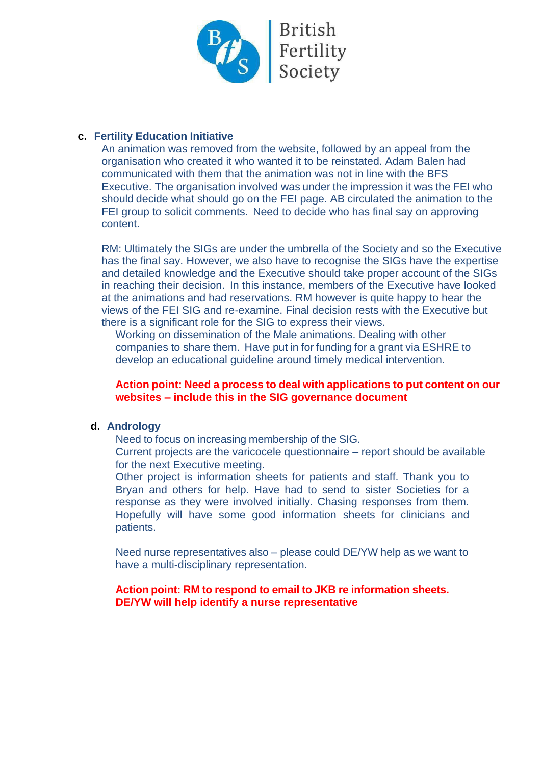

## **c. Fertility Education Initiative**

An animation was removed from the website, followed by an appeal from the organisation who created it who wanted it to be reinstated. Adam Balen had communicated with them that the animation was not in line with the BFS Executive. The organisation involved was under the impression it was the FEI who should decide what should go on the FEI page. AB circulated the animation to the FEI group to solicit comments. Need to decide who has final say on approving content.

RM: Ultimately the SIGs are under the umbrella of the Society and so the Executive has the final say. However, we also have to recognise the SIGs have the expertise and detailed knowledge and the Executive should take proper account of the SIGs in reaching their decision. In this instance, members of the Executive have looked at the animations and had reservations. RM however is quite happy to hear the views of the FEI SIG and re-examine. Final decision rests with the Executive but there is a significant role for the SIG to express their views.

Working on dissemination of the Male animations. Dealing with other companies to share them. Have put in for funding for a grant via ESHRE to develop an educational guideline around timely medical intervention.

#### **Action point: Need a process to deal with applications to put content on our websites – include this in the SIG governance document**

#### **d. Andrology**

Need to focus on increasing membership of the SIG.

Current projects are the varicocele questionnaire – report should be available for the next Executive meeting.

Other project is information sheets for patients and staff. Thank you to Bryan and others for help. Have had to send to sister Societies for a response as they were involved initially. Chasing responses from them. Hopefully will have some good information sheets for clinicians and patients.

Need nurse representatives also – please could DE/YW help as we want to have a multi-disciplinary representation.

## **Action point: RM to respond to email to JKB re information sheets. DE/YW will help identify a nurse representative**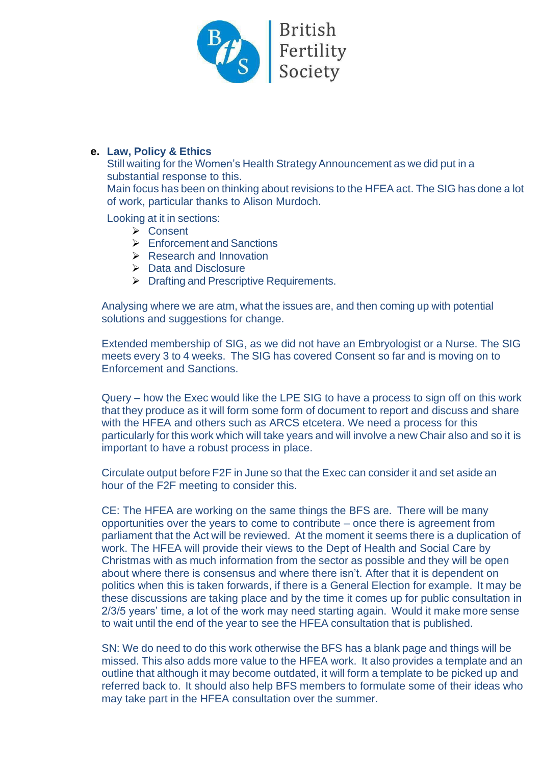

# **e. Law, Policy & Ethics**

Still waiting for the Women's Health Strategy Announcement as we did put in a substantial response to this.

Main focus has been on thinking about revisions to the HFEA act. The SIG has done a lot of work, particular thanks to Alison Murdoch.

Looking at it in sections:

- ➢ Consent
- ➢ Enforcement and Sanctions
- ➢ Research and Innovation
- ➢ Data and Disclosure
- ➢ Drafting and Prescriptive Requirements.

Analysing where we are atm, what the issues are, and then coming up with potential solutions and suggestions for change.

Extended membership of SIG, as we did not have an Embryologist or a Nurse. The SIG meets every 3 to 4 weeks. The SIG has covered Consent so far and is moving on to Enforcement and Sanctions.

Query – how the Exec would like the LPE SIG to have a process to sign off on this work that they produce as it will form some form of document to report and discuss and share with the HFEA and others such as ARCS etcetera. We need a process for this particularly for this work which will take years and will involve a new Chair also and so it is important to have a robust process in place.

Circulate output before F2F in June so that the Exec can consider it and set aside an hour of the F2F meeting to consider this.

CE: The HFEA are working on the same things the BFS are. There will be many opportunities over the years to come to contribute – once there is agreement from parliament that the Act will be reviewed. At the moment it seems there is a duplication of work. The HFEA will provide their views to the Dept of Health and Social Care by Christmas with as much information from the sector as possible and they will be open about where there is consensus and where there isn't. After that it is dependent on politics when this is taken forwards, if there is a General Election for example. It may be these discussions are taking place and by the time it comes up for public consultation in 2/3/5 years' time, a lot of the work may need starting again. Would it make more sense to wait until the end of the year to see the HFEA consultation that is published.

SN: We do need to do this work otherwise the BFS has a blank page and things will be missed. This also adds more value to the HFEA work. It also provides a template and an outline that although it may become outdated, it will form a template to be picked up and referred back to. It should also help BFS members to formulate some of their ideas who may take part in the HFEA consultation over the summer.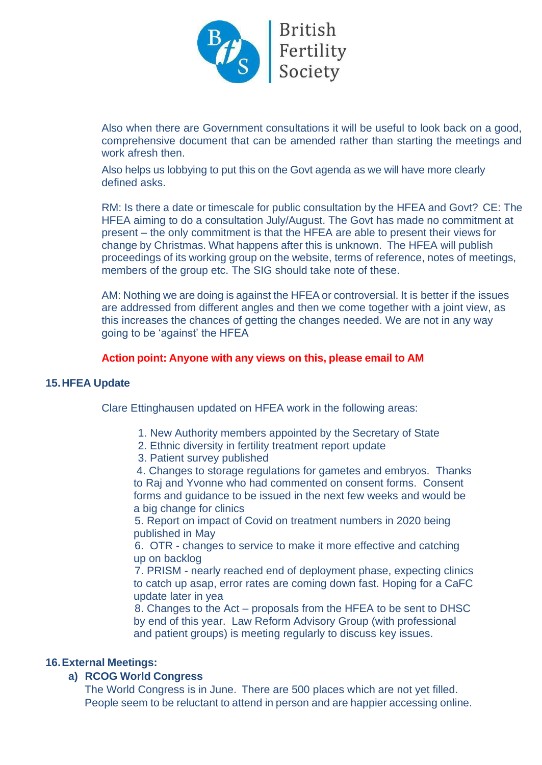

Also when there are Government consultations it will be useful to look back on a good, comprehensive document that can be amended rather than starting the meetings and work afresh then.

Also helps us lobbying to put this on the Govt agenda as we will have more clearly defined asks.

RM: Is there a date or timescale for public consultation by the HFEA and Govt? CE: The HFEA aiming to do a consultation July/August. The Govt has made no commitment at present – the only commitment is that the HFEA are able to present their views for change by Christmas. What happens after this is unknown. The HFEA will publish proceedings of its working group on the website, terms of reference, notes of meetings, members of the group etc. The SIG should take note of these.

AM: Nothing we are doing is against the HFEA or controversial. It is better if the issues are addressed from different angles and then we come together with a joint view, as this increases the chances of getting the changes needed. We are not in any way going to be 'against' the HFEA

#### **Action point: Anyone with any views on this, please email to AM**

#### **15.HFEA Update**

Clare Ettinghausen updated on HFEA work in the following areas:

- 1. New Authority members appointed by the Secretary of State
- 2. Ethnic diversity in fertility treatment report update
- 3. Patient survey published

4. Changes to storage regulations for gametes and embryos. Thanks to Raj and Yvonne who had commented on consent forms. Consent forms and guidance to be issued in the next few weeks and would be a big change for clinics

5. Report on impact of Covid on treatment numbers in 2020 being published in May

6. OTR - changes to service to make it more effective and catching up on backlog

7. PRISM - nearly reached end of deployment phase, expecting clinics to catch up asap, error rates are coming down fast. Hoping for a CaFC update later in yea

8. Changes to the Act – proposals from the HFEA to be sent to DHSC by end of this year. Law Reform Advisory Group (with professional and patient groups) is meeting regularly to discuss key issues.

#### **16.External Meetings:**

#### **a) RCOG World Congress**

The World Congress is in June. There are 500 places which are not yet filled. People seem to be reluctant to attend in person and are happier accessing online.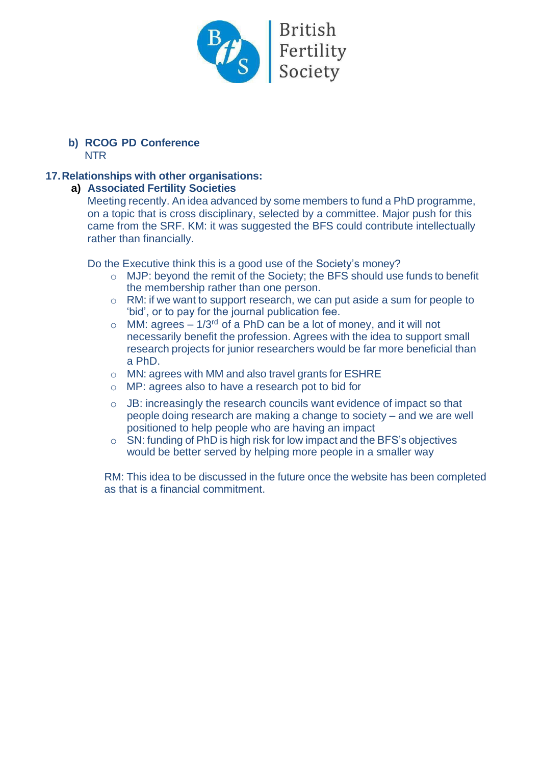

#### **b) RCOG PD Conference** NTR

## **17.Relationships with other organisations:**

#### **a) Associated Fertility Societies**

Meeting recently. An idea advanced by some members to fund a PhD programme, on a topic that is cross disciplinary, selected by a committee. Major push for this came from the SRF. KM: it was suggested the BFS could contribute intellectually rather than financially.

Do the Executive think this is a good use of the Society's money?

- o MJP: beyond the remit of the Society; the BFS should use funds to benefit the membership rather than one person.
- o RM: if we want to support research, we can put aside a sum for people to 'bid', or to pay for the journal publication fee.
- $\circ$  MM: agrees 1/3<sup>rd</sup> of a PhD can be a lot of money, and it will not necessarily benefit the profession. Agrees with the idea to support small research projects for junior researchers would be far more beneficial than a PhD.
- o MN: agrees with MM and also travel grants for ESHRE
- o MP: agrees also to have a research pot to bid for
- o JB: increasingly the research councils want evidence of impact so that people doing research are making a change to society – and we are well positioned to help people who are having an impact
- o SN: funding of PhD is high risk for low impact and the BFS's objectives would be better served by helping more people in a smaller way

RM: This idea to be discussed in the future once the website has been completed as that is a financial commitment.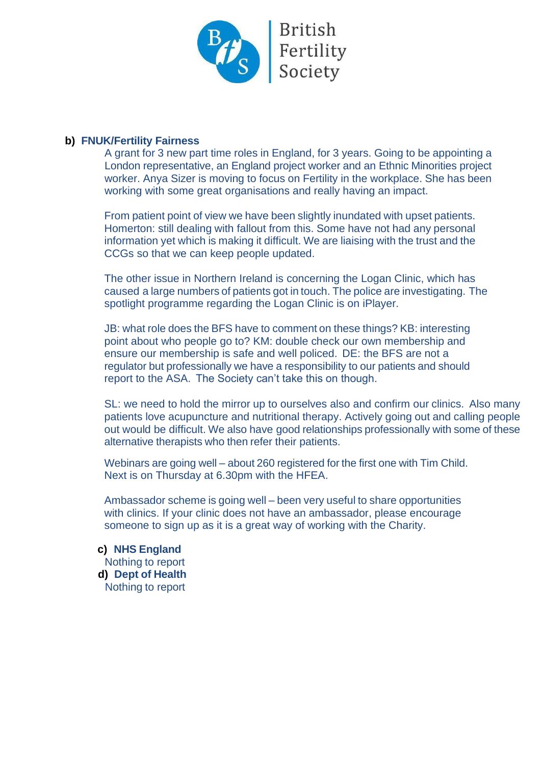

#### **b) FNUK/Fertility Fairness**

A grant for 3 new part time roles in England, for 3 years. Going to be appointing a London representative, an England project worker and an Ethnic Minorities project worker. Anya Sizer is moving to focus on Fertility in the workplace. She has been working with some great organisations and really having an impact.

From patient point of view we have been slightly inundated with upset patients. Homerton: still dealing with fallout from this. Some have not had any personal information yet which is making it difficult. We are liaising with the trust and the CCGs so that we can keep people updated.

The other issue in Northern Ireland is concerning the Logan Clinic, which has caused a large numbers of patients got in touch. The police are investigating. The spotlight programme regarding the Logan Clinic is on iPlayer.

JB: what role does the BFS have to comment on these things? KB: interesting point about who people go to? KM: double check our own membership and ensure our membership is safe and well policed. DE: the BFS are not a regulator but professionally we have a responsibility to our patients and should report to the ASA. The Society can't take this on though.

SL: we need to hold the mirror up to ourselves also and confirm our clinics. Also many patients love acupuncture and nutritional therapy. Actively going out and calling people out would be difficult. We also have good relationships professionally with some of these alternative therapists who then refer their patients.

Webinars are going well – about 260 registered for the first one with Tim Child. Next is on Thursday at 6.30pm with the HFEA.

Ambassador scheme is going well – been very useful to share opportunities with clinics. If your clinic does not have an ambassador, please encourage someone to sign up as it is a great way of working with the Charity.

**c) NHS England** Nothing to report **d) Dept of Health** Nothing to report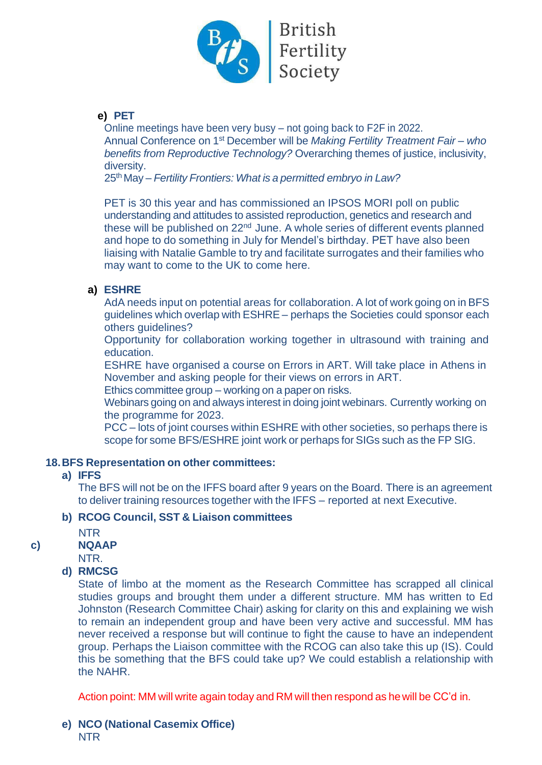

## **e) PET**

Online meetings have been very busy – not going back to F2F in 2022. Annual Conference on 1<sup>st</sup> December will be *Making Fertility Treatment Fair-who benefits from Reproductive Technology?* Overarching themes of justice, inclusivity, diversity.

25th May – *Fertility Frontiers: What is a permitted embryo in Law?*

PET is 30 this year and has commissioned an IPSOS MORI poll on public understanding and attitudes to assisted reproduction, genetics and research and these will be published on 22<sup>nd</sup> June. A whole series of different events planned and hope to do something in July for Mendel's birthday. PET have also been liaising with Natalie Gamble to try and facilitate surrogates and their families who may want to come to the UK to come here.

# **a) ESHRE**

AdA needs input on potential areas for collaboration. A lot of work going on in BFS guidelines which overlap with ESHRE – perhaps the Societies could sponsor each others guidelines?

Opportunity for collaboration working together in ultrasound with training and education.

ESHRE have organised a course on Errors in ART. Will take place in Athens in November and asking people for their views on errors in ART.

Ethics committee group – working on a paper on risks.

Webinars going on and always interest in doing joint webinars. Currently working on the programme for 2023.

PCC – lots of joint courses within ESHRE with other societies, so perhaps there is scope for some BFS/ESHRE joint work or perhaps for SIGs such as the FP SIG.

## **18.BFS Representation on other committees:**

## **a) IFFS**

The BFS will not be on the IFFS board after 9 years on the Board. There is an agreement to deliver training resources together with the IFFS – reported at next Executive.

## **b) RCOG Council, SST & Liaison committees**

NTR

## **c) NQAAP**

NTR.

## **d) RMCSG**

State of limbo at the moment as the Research Committee has scrapped all clinical studies groups and brought them under a different structure. MM has written to Ed Johnston (Research Committee Chair) asking for clarity on this and explaining we wish to remain an independent group and have been very active and successful. MM has never received a response but will continue to fight the cause to have an independent group. Perhaps the Liaison committee with the RCOG can also take this up (IS). Could this be something that the BFS could take up? We could establish a relationship with the NAHR.

Action point: MM will write again today and RM will then respond as hewill be CC'd in.

**e) NCO (National Casemix Office)** NTR